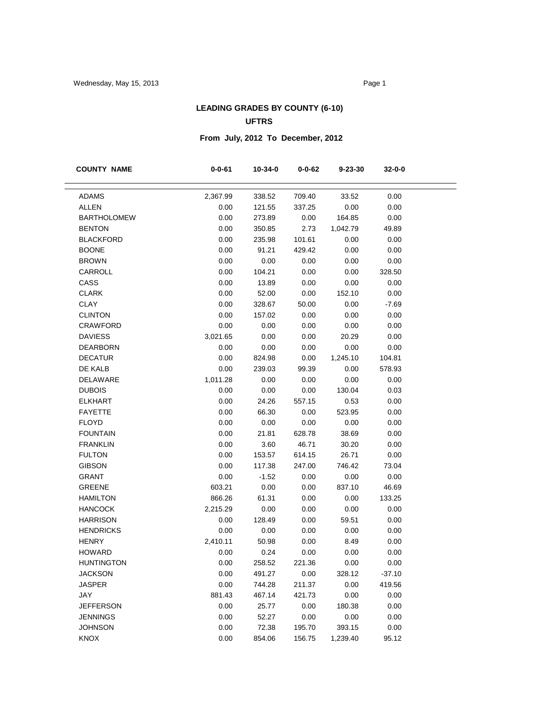### **LEADING GRADES BY COUNTY (6-10) UFTRS**

# **From July, 2012 To December, 2012**

| <b>COUNTY NAME</b> | $0 - 0 - 61$     | 10-34-0          | $0 - 0 - 62$     | 9-23-30        | 32-0-0         |  |
|--------------------|------------------|------------------|------------------|----------------|----------------|--|
| <b>ADAMS</b>       | 2,367.99         | 338.52           | 709.40           | 33.52          | 0.00           |  |
| <b>ALLEN</b>       |                  |                  |                  | 0.00           |                |  |
| <b>BARTHOLOMEW</b> | 0.00<br>0.00     | 121.55<br>273.89 | 337.25<br>0.00   | 164.85         | 0.00<br>0.00   |  |
| <b>BENTON</b>      | 0.00             | 350.85           | 2.73             | 1,042.79       | 49.89          |  |
| <b>BLACKFORD</b>   | 0.00             | 235.98           | 101.61           | 0.00           | 0.00           |  |
| <b>BOONE</b>       | 0.00             | 91.21            | 429.42           | 0.00           | 0.00           |  |
| <b>BROWN</b>       | 0.00             | 0.00             | 0.00             | 0.00           | 0.00           |  |
| CARROLL            | 0.00             | 104.21           | 0.00             | 0.00           | 328.50         |  |
| CASS               | 0.00             | 13.89            | 0.00             | 0.00           | 0.00           |  |
| <b>CLARK</b>       | 0.00             | 52.00            | 0.00             | 152.10         | 0.00           |  |
| <b>CLAY</b>        | 0.00             | 328.67           | 50.00            | 0.00           | $-7.69$        |  |
| <b>CLINTON</b>     | 0.00             | 157.02           | 0.00             | 0.00           | 0.00           |  |
| <b>CRAWFORD</b>    | 0.00             | 0.00             | 0.00             | 0.00           | 0.00           |  |
| <b>DAVIESS</b>     |                  |                  |                  |                | 0.00           |  |
| <b>DEARBORN</b>    | 3,021.65         | 0.00             | 0.00             | 20.29<br>0.00  | 0.00           |  |
| <b>DECATUR</b>     | 0.00<br>0.00     | 0.00             | 0.00             |                | 104.81         |  |
| DE KALB            | 0.00             | 824.98           | 0.00             | 1,245.10       | 578.93         |  |
| DELAWARE           | 1,011.28         | 239.03<br>0.00   | 99.39<br>0.00    | 0.00<br>0.00   | 0.00           |  |
| <b>DUBOIS</b>      | 0.00             | 0.00             | 0.00             | 130.04         | 0.03           |  |
| <b>ELKHART</b>     | 0.00             | 24.26            | 557.15           | 0.53           | 0.00           |  |
| <b>FAYETTE</b>     | 0.00             | 66.30            | 0.00             | 523.95         | 0.00           |  |
| <b>FLOYD</b>       | 0.00             | 0.00             |                  | 0.00           | 0.00           |  |
| <b>FOUNTAIN</b>    | 0.00             |                  | 0.00             |                | 0.00           |  |
| <b>FRANKLIN</b>    | 0.00             | 21.81            | 628.78<br>46.71  | 38.69<br>30.20 | 0.00           |  |
| <b>FULTON</b>      | 0.00             | 3.60<br>153.57   | 614.15           | 26.71          | 0.00           |  |
| <b>GIBSON</b>      | 0.00             | 117.38           | 247.00           | 746.42         | 73.04          |  |
| <b>GRANT</b>       | 0.00             | $-1.52$          | 0.00             | 0.00           | 0.00           |  |
| <b>GREENE</b>      | 603.21           | 0.00             | 0.00             | 837.10         | 46.69          |  |
| <b>HAMILTON</b>    | 866.26           | 61.31            | 0.00             | 0.00           | 133.25         |  |
| <b>HANCOCK</b>     | 2,215.29         | 0.00             | 0.00             | 0.00           | 0.00           |  |
| <b>HARRISON</b>    | 0.00             | 128.49           | 0.00             | 59.51          | 0.00           |  |
| <b>HENDRICKS</b>   | 0.00             | 0.00             | 0.00             | 0.00           | 0.00           |  |
| <b>HENRY</b>       |                  | 50.98            |                  |                |                |  |
| <b>HOWARD</b>      | 2,410.11<br>0.00 | 0.24             | 0.00             | 8.49<br>0.00   | 0.00<br>0.00   |  |
| <b>HUNTINGTON</b>  | 0.00             | 258.52           | 0.00<br>221.36   | 0.00           | 0.00           |  |
| <b>JACKSON</b>     |                  | 491.27           |                  |                | $-37.10$       |  |
| <b>JASPER</b>      | 0.00<br>0.00     | 744.28           | 0.00             | 328.12         |                |  |
| JAY                |                  |                  | 211.37<br>421.73 | 0.00           | 419.56<br>0.00 |  |
| <b>JEFFERSON</b>   | 881.43<br>0.00   | 467.14           |                  | 0.00           |                |  |
| <b>JENNINGS</b>    | 0.00             | 25.77            | 0.00<br>0.00     | 180.38         | 0.00           |  |
| <b>JOHNSON</b>     |                  | 52.27            |                  | 0.00           | 0.00           |  |
|                    | 0.00             | 72.38            | 195.70           | 393.15         | 0.00           |  |
| KNOX               | 0.00             | 854.06           | 156.75           | 1,239.40       | 95.12          |  |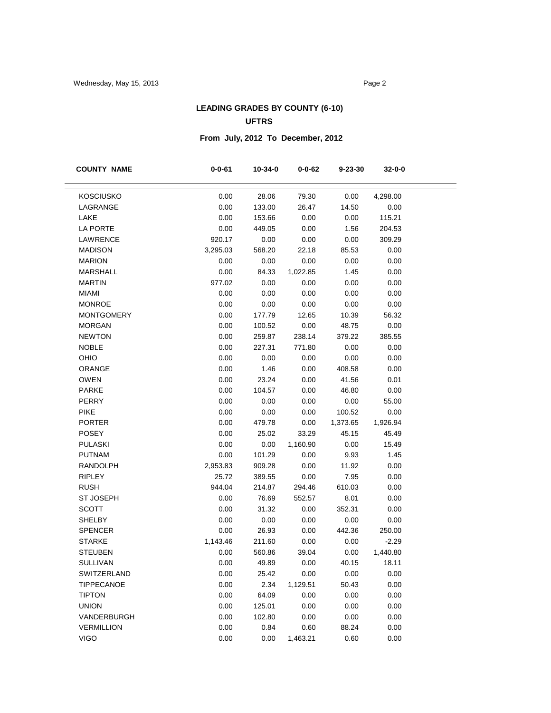### **LEADING GRADES BY COUNTY (6-10) UFTRS**

# **From July, 2012 To December, 2012**

| <b>COUNTY NAME</b> | $0 - 0 - 61$ | 10-34-0 | $0 - 0 - 62$ | $9 - 23 - 30$ | 32-0-0   |
|--------------------|--------------|---------|--------------|---------------|----------|
|                    |              |         |              |               |          |
| <b>KOSCIUSKO</b>   | 0.00         | 28.06   | 79.30        | 0.00          | 4,298.00 |
| LAGRANGE           | 0.00         | 133.00  | 26.47        | 14.50         | 0.00     |
| LAKE               | 0.00         | 153.66  | 0.00         | 0.00          | 115.21   |
| <b>LA PORTE</b>    | 0.00         | 449.05  | 0.00         | 1.56          | 204.53   |
| LAWRENCE           | 920.17       | 0.00    | 0.00         | 0.00          | 309.29   |
| <b>MADISON</b>     | 3,295.03     | 568.20  | 22.18        | 85.53         | 0.00     |
| <b>MARION</b>      | 0.00         | 0.00    | 0.00         | 0.00          | 0.00     |
| <b>MARSHALL</b>    | 0.00         | 84.33   | 1,022.85     | 1.45          | 0.00     |
| <b>MARTIN</b>      | 977.02       | 0.00    | 0.00         | 0.00          | 0.00     |
| <b>MIAMI</b>       | 0.00         | 0.00    | 0.00         | 0.00          | 0.00     |
| <b>MONROE</b>      | 0.00         | 0.00    | 0.00         | 0.00          | 0.00     |
| <b>MONTGOMERY</b>  | 0.00         | 177.79  | 12.65        | 10.39         | 56.32    |
| <b>MORGAN</b>      | 0.00         | 100.52  | 0.00         | 48.75         | 0.00     |
| <b>NEWTON</b>      | 0.00         | 259.87  | 238.14       | 379.22        | 385.55   |
| <b>NOBLE</b>       | 0.00         | 227.31  | 771.80       | 0.00          | 0.00     |
| OHIO               | 0.00         | 0.00    | 0.00         | 0.00          | 0.00     |
| ORANGE             | 0.00         | 1.46    | 0.00         | 408.58        | 0.00     |
| <b>OWEN</b>        | 0.00         | 23.24   | 0.00         | 41.56         | 0.01     |
| <b>PARKE</b>       | 0.00         | 104.57  | 0.00         | 46.80         | 0.00     |
| <b>PERRY</b>       | 0.00         | 0.00    | 0.00         | 0.00          | 55.00    |
| <b>PIKE</b>        | 0.00         | 0.00    | 0.00         | 100.52        | 0.00     |
| <b>PORTER</b>      | 0.00         | 479.78  | 0.00         | 1,373.65      | 1,926.94 |
| POSEY              | 0.00         | 25.02   | 33.29        | 45.15         | 45.49    |
| <b>PULASKI</b>     | 0.00         | 0.00    | 1,160.90     | 0.00          | 15.49    |
| <b>PUTNAM</b>      | 0.00         | 101.29  | 0.00         | 9.93          | 1.45     |
| <b>RANDOLPH</b>    | 2,953.83     | 909.28  | 0.00         | 11.92         | 0.00     |
| <b>RIPLEY</b>      | 25.72        | 389.55  | 0.00         | 7.95          | 0.00     |
| <b>RUSH</b>        | 944.04       | 214.87  | 294.46       | 610.03        | 0.00     |
| <b>ST JOSEPH</b>   | 0.00         | 76.69   | 552.57       | 8.01          | 0.00     |
| <b>SCOTT</b>       | 0.00         | 31.32   | 0.00         | 352.31        | 0.00     |
| <b>SHELBY</b>      | 0.00         | 0.00    | 0.00         | 0.00          | 0.00     |
| <b>SPENCER</b>     | 0.00         | 26.93   | 0.00         | 442.36        | 250.00   |
| <b>STARKE</b>      | 1,143.46     | 211.60  | 0.00         | 0.00          | $-2.29$  |
| <b>STEUBEN</b>     | 0.00         | 560.86  | 39.04        | 0.00          | 1,440.80 |
| <b>SULLIVAN</b>    | 0.00         | 49.89   | 0.00         | 40.15         | 18.11    |
| SWITZERLAND        | 0.00         | 25.42   | 0.00         | 0.00          | 0.00     |
| <b>TIPPECANOE</b>  | 0.00         | 2.34    | 1,129.51     | 50.43         | 0.00     |
| <b>TIPTON</b>      | 0.00         | 64.09   | 0.00         | 0.00          | 0.00     |
| <b>UNION</b>       | 0.00         | 125.01  | 0.00         | 0.00          | 0.00     |
| VANDERBURGH        | 0.00         | 102.80  | 0.00         | 0.00          | 0.00     |
| <b>VERMILLION</b>  | 0.00         | 0.84    | 0.60         | 88.24         | 0.00     |
| <b>VIGO</b>        | 0.00         | 0.00    | 1,463.21     | 0.60          | 0.00     |